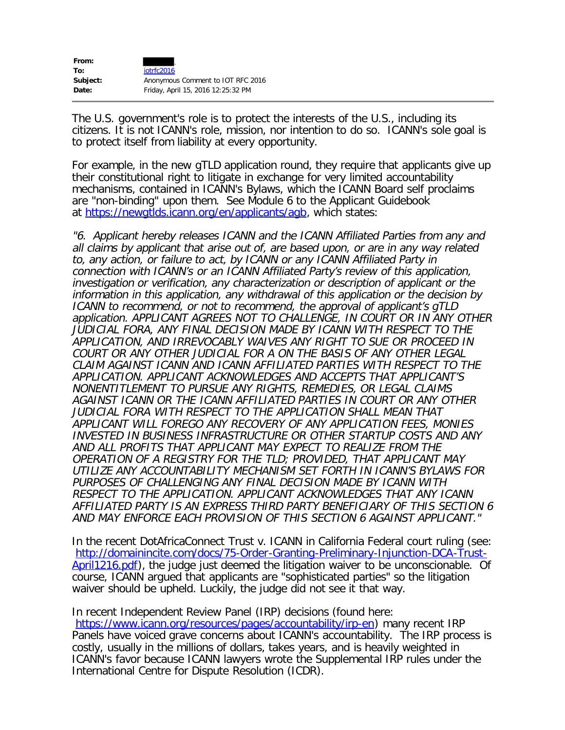| From:    |                                    |
|----------|------------------------------------|
| To:      | iotrfc2016                         |
| Subject: | Anonymous Comment to IOT RFC 2016  |
| Date:    | Friday, April 15, 2016 12:25:32 PM |

The U.S. government's role is to protect the interests of the U.S., including its citizens. It is not ICANN's role, mission, nor intention to do so. ICANN's sole goal is to protect itself from liability at every opportunity.

For example, in the new gTLD application round, they require that applicants give up their constitutional right to litigate in exchange for very limited accountability mechanisms, contained in ICANN's Bylaws, which the ICANN Board self proclaims are "non-binding" upon them. See Module 6 to the Applicant Guidebook at <https://newgtlds.icann.org/en/applicants/agb>, which states:

"6. Applicant hereby releases ICANN and the ICANN Affiliated Parties from any and all claims by applicant that arise out of, are based upon, or are in any way related to, any action, or failure to act, by ICANN or any ICANN Affiliated Party in connection with ICANN's or an ICANN Affiliated Party's review of this application, investigation or verification, any characterization or description of applicant or the information in this application, any withdrawal of this application or the decision by ICANN to recommend, or not to recommend, the approval of applicant's gTLD application. APPLICANT AGREES NOT TO CHALLENGE, IN COURT OR IN ANY OTHER JUDICIAL FORA, ANY FINAL DECISION MADE BY ICANN WITH RESPECT TO THE APPLICATION, AND IRREVOCABLY WAIVES ANY RIGHT TO SUE OR PROCEED IN COURT OR ANY OTHER JUDICIAL FOR A ON THE BASIS OF ANY OTHER LEGAL CLAIM AGAINST ICANN AND ICANN AFFILIATED PARTIES WITH RESPECT TO THE APPLICATION. APPLICANT ACKNOWLEDGES AND ACCEPTS THAT APPLICANT'S NONENTITLEMENT TO PURSUE ANY RIGHTS, REMEDIES, OR LEGAL CLAIMS AGAINST ICANN OR THE ICANN AFFILIATED PARTIES IN COURT OR ANY OTHER JUDICIAL FORA WITH RESPECT TO THE APPLICATION SHALL MEAN THAT APPLICANT WILL FOREGO ANY RECOVERY OF ANY APPLICATION FEES, MONIES INVESTED IN BUSINESS INFRASTRUCTURE OR OTHER STARTUP COSTS AND ANY AND ALL PROFITS THAT APPLICANT MAY EXPECT TO REALIZE FROM THE OPERATION OF A REGISTRY FOR THE TLD; PROVIDED, THAT APPLICANT MAY UTILIZE ANY ACCOUNTABILITY MECHANISM SET FORTH IN ICANN'S BYLAWS FOR PURPOSES OF CHALLENGING ANY FINAL DECISION MADE BY ICANN WITH RESPECT TO THE APPLICATION. APPLICANT ACKNOWLEDGES THAT ANY ICANN AFFILIATED PARTY IS AN EXPRESS THIRD PARTY BENEFICIARY OF THIS SECTION 6 AND MAY ENFORCE EACH PROVISION OF THIS SECTION 6 AGAINST APPLICANT."

In the recent DotAfricaConnect Trust v. ICANN in California Federal court ruling (see: [http://domainincite.com/docs/75-Order-Granting-Preliminary-Injunction-DCA-Trust-](http://domainincite.com/docs/75-Order-Granting-Preliminary-Injunction-DCA-Trust-April1216.pdf)[April1216.pdf](http://domainincite.com/docs/75-Order-Granting-Preliminary-Injunction-DCA-Trust-April1216.pdf)), the judge just deemed the litigation waiver to be unconscionable. Of course, ICANN argued that applicants are "sophisticated parties" so the litigation waiver should be upheld. Luckily, the judge did not see it that way.

In recent Independent Review Panel (IRP) decisions (found here: [https://www.icann.org/resources/pages/accountability/irp-en\)](https://www.icann.org/resources/pages/accountability/irp-en) many recent IRP Panels have voiced grave concerns about ICANN's accountability. The IRP process is costly, usually in the millions of dollars, takes years, and is heavily weighted in ICANN's favor because ICANN lawyers wrote the Supplemental IRP rules under the International Centre for Dispute Resolution (ICDR).